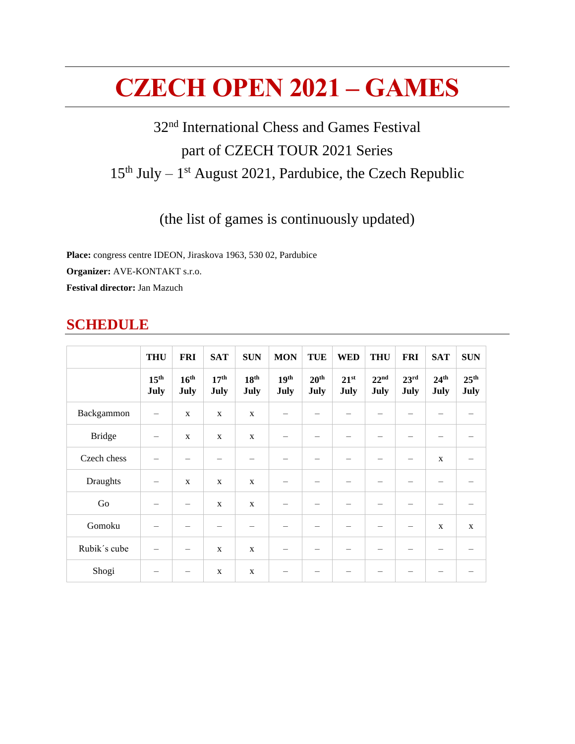# **CZECH OPEN 2021 – GAMES**

# 32<sup>nd</sup> International Chess and Games Festival part of CZECH TOUR 2021 Series 15<sup>th</sup> July – 1<sup>st</sup> August 2021, Pardubice, the Czech Republic

# (the list of games is continuously updated)

**Place:** congress centre IDEON, Jiraskova 1963, 530 02, Pardubice **Organizer:** AVE-KONTAKT s.r.o. **Festival director:** Jan Mazuch

# **SCHEDULE**

|               | <b>THU</b>               | <b>FRI</b>               | <b>SAT</b>               | <b>SUN</b>               | <b>MON</b>               | <b>TUE</b>               | <b>WED</b>        | <b>THU</b>               | <b>FRI</b>               | <b>SAT</b>               | <b>SUN</b>               |
|---------------|--------------------------|--------------------------|--------------------------|--------------------------|--------------------------|--------------------------|-------------------|--------------------------|--------------------------|--------------------------|--------------------------|
|               | 15 <sup>th</sup><br>July | 16 <sup>th</sup><br>July | 17 <sup>th</sup><br>July | 18 <sup>th</sup><br>July | 19 <sup>th</sup><br>July | 20 <sup>th</sup><br>July | $21^{st}$<br>July | 22 <sup>nd</sup><br>July | 23 <sup>rd</sup><br>July | 24 <sup>th</sup><br>July | 25 <sup>th</sup><br>July |
| Backgammon    |                          | $\mathbf X$              | $\mathbf{X}$             | X                        |                          |                          |                   |                          |                          |                          |                          |
| <b>Bridge</b> |                          | X                        | $\mathbf X$              | $\mathbf X$              |                          |                          |                   | -                        |                          |                          |                          |
| Czech chess   |                          |                          |                          |                          |                          |                          |                   |                          |                          | $\mathbf{X}$             |                          |
| Draughts      | -                        | $\mathbf X$              | $\mathbf X$              | $\mathbf X$              |                          |                          |                   | -                        |                          |                          |                          |
| Go            |                          | $\overline{\phantom{m}}$ | $\mathbf X$              | $\mathbf X$              |                          |                          |                   |                          |                          |                          |                          |
| Gomoku        |                          |                          |                          | $\overline{\phantom{0}}$ |                          |                          |                   | -                        | -                        | $\mathbf X$              | $\mathbf{X}$             |
| Rubik's cube  |                          | $\qquad \qquad -$        | $\mathbf X$              | $\mathbf X$              | $\overline{\phantom{m}}$ |                          |                   |                          |                          |                          | -                        |
| Shogi         |                          | $\qquad \qquad -$        | $\mathbf X$              | $\mathbf X$              |                          |                          |                   |                          |                          |                          | -                        |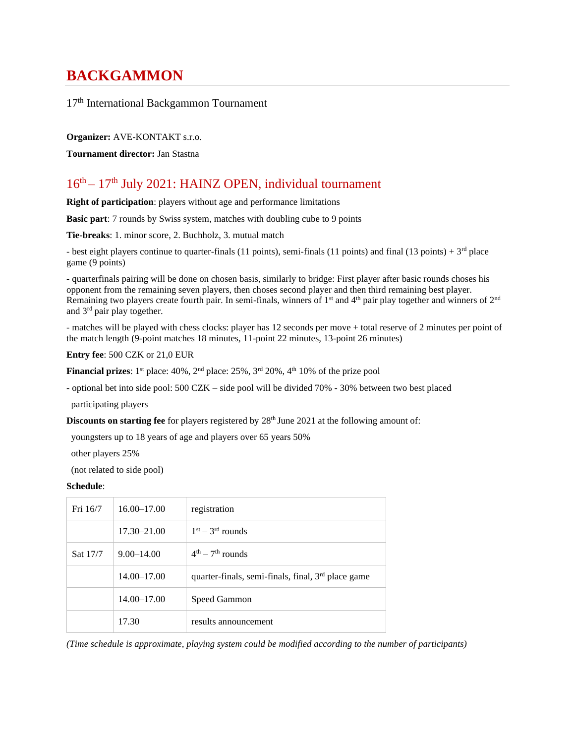# **BACKGAMMON**

17th International Backgammon Tournament

**Organizer:** AVE-KONTAKT s.r.o.

**Tournament director:** Jan Stastna

### $16<sup>th</sup> - 17<sup>th</sup>$  July 2021: HAINZ OPEN, individual tournament

**Right of participation**: players without age and performance limitations

**Basic part**: 7 rounds by Swiss system, matches with doubling cube to 9 points

**Tie-breaks**: 1. minor score, 2. Buchholz, 3. mutual match

- best eight players continue to quarter-finals (11 points), semi-finals (11 points) and final (13 points) +  $3<sup>rd</sup>$  place game (9 points)

- quarterfinals pairing will be done on chosen basis, similarly to bridge: First player after basic rounds choses his opponent from the remaining seven players, then choses second player and then third remaining best player. Remaining two players create fourth pair. In semi-finals, winners of  $1<sup>st</sup>$  and  $4<sup>th</sup>$  pair play together and winners of  $2<sup>nd</sup>$ and 3rd pair play together.

- matches will be played with chess clocks: player has 12 seconds per move + total reserve of 2 minutes per point of the match length (9-point matches 18 minutes, 11-point 22 minutes, 13-point 26 minutes)

**Entry fee**: 500 CZK or 21,0 EUR

**Financial prizes**:  $1^{st}$  place:  $40\%$ ,  $2^{nd}$  place:  $25\%$ ,  $3^{rd}$   $20\%$ ,  $4^{th}$   $10\%$  of the prize pool

- optional bet into side pool: 500 CZK – side pool will be divided 70% - 30% between two best placed

participating players

**Discounts on starting fee** for players registered by 28<sup>th</sup> June 2021 at the following amount of:

youngsters up to 18 years of age and players over 65 years 50%

other players 25%

(not related to side pool)

#### **Schedule**:

| Fri 16/7 | $16.00 - 17.00$ | registration                                                   |
|----------|-----------------|----------------------------------------------------------------|
|          | $17.30 - 21.00$ | $1st - 3rd$ rounds                                             |
| Sat 17/7 | $9.00 - 14.00$  | $4th - 7th$ rounds                                             |
|          | $14.00 - 17.00$ | quarter-finals, semi-finals, final, 3 <sup>rd</sup> place game |
|          | $14.00 - 17.00$ | Speed Gammon                                                   |
|          | 17.30           | results announcement                                           |

*(Time schedule is approximate, playing system could be modified according to the number of participants)*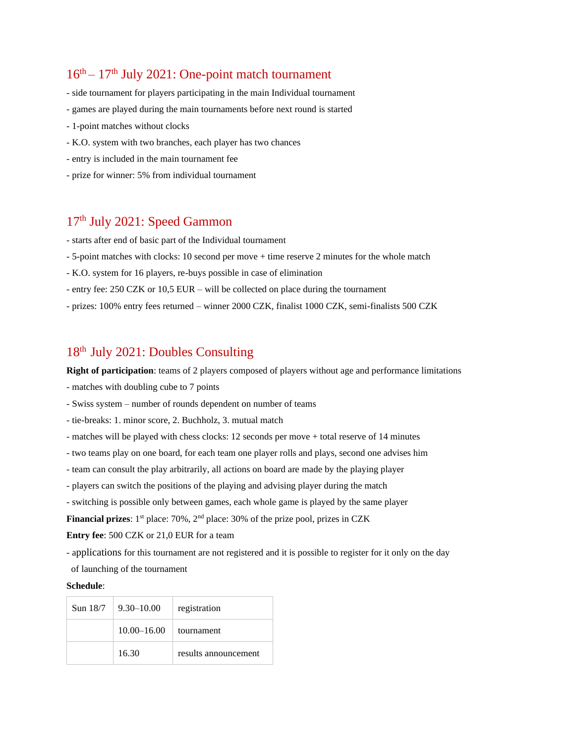# $16<sup>th</sup> - 17<sup>th</sup>$  July 2021: One-point match tournament

- side tournament for players participating in the main Individual tournament
- games are played during the main tournaments before next round is started
- 1-point matches without clocks
- K.O. system with two branches, each player has two chances
- entry is included in the main tournament fee
- prize for winner: 5% from individual tournament

### 17th July 2021: Speed Gammon

- starts after end of basic part of the Individual tournament
- 5-point matches with clocks: 10 second per move + time reserve 2 minutes for the whole match
- K.O. system for 16 players, re-buys possible in case of elimination
- entry fee: 250 CZK or 10,5 EUR will be collected on place during the tournament
- prizes: 100% entry fees returned winner 2000 CZK, finalist 1000 CZK, semi-finalists 500 CZK

### 18th July 2021: Doubles Consulting

**Right of participation**: teams of 2 players composed of players without age and performance limitations

- matches with doubling cube to 7 points
- Swiss system number of rounds dependent on number of teams
- tie-breaks: 1. minor score, 2. Buchholz, 3. mutual match
- matches will be played with chess clocks: 12 seconds per move + total reserve of 14 minutes
- two teams play on one board, for each team one player rolls and plays, second one advises him
- team can consult the play arbitrarily, all actions on board are made by the playing player
- players can switch the positions of the playing and advising player during the match
- switching is possible only between games, each whole game is played by the same player

**Financial prizes**: 1<sup>st</sup> place: 70%, 2<sup>nd</sup> place: 30% of the prize pool, prizes in CZK

**Entry fee**: 500 CZK or 21,0 EUR for a team

- applications for this tournament are not registered and it is possible to register for it only on the day

of launching of the tournament

| Sun 18/7 | $\perp$ 9.30–10.00 | registration         |
|----------|--------------------|----------------------|
|          | $10.00 - 16.00$    | tournament           |
|          | 16.30              | results announcement |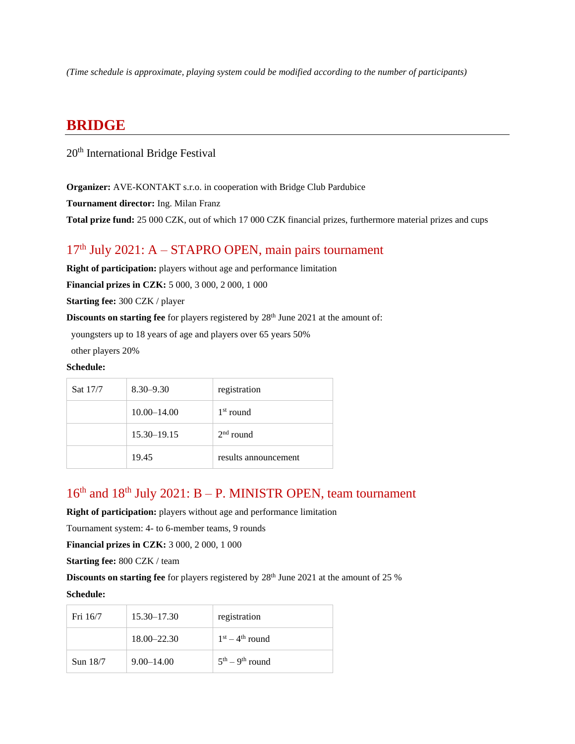*(Time schedule is approximate, playing system could be modified according to the number of participants)*

# **BRIDGE**

20th International Bridge Festival

**Organizer:** AVE-KONTAKT s.r.o. in cooperation with Bridge Club Pardubice

**Tournament director:** Ing. Milan Franz

**Total prize fund:** 25 000 CZK, out of which 17 000 CZK financial prizes, furthermore material prizes and cups

# $17<sup>th</sup>$  July 2021: A – STAPRO OPEN, main pairs tournament

**Right of participation:** players without age and performance limitation

**Financial prizes in CZK:** 5 000, 3 000, 2 000, 1 000

**Starting fee:** 300 CZK / player

**Discounts on starting fee** for players registered by 28<sup>th</sup> June 2021 at the amount of:

youngsters up to 18 years of age and players over 65 years 50%

other players 20%

#### **Schedule:**

| Sat 17/7 | $8.30 - 9.30$   | registration         |
|----------|-----------------|----------------------|
|          | $10.00 - 14.00$ | $1st$ round          |
|          | $15.30 - 19.15$ | $2nd$ round          |
|          | 19.45           | results announcement |

### $16<sup>th</sup>$  and  $18<sup>th</sup>$  July 2021: B – P. MINISTR OPEN, team tournament

**Right of participation:** players without age and performance limitation

Tournament system: 4- to 6-member teams, 9 rounds

**Financial prizes in CZK:** 3 000, 2 000, 1 000

**Starting fee:** 800 CZK / team

**Discounts on starting fee** for players registered by 28<sup>th</sup> June 2021 at the amount of 25 %

| Fri 16/7 | $15.30 - 17.30$ | registration      |
|----------|-----------------|-------------------|
|          | $18.00 - 22.30$ | $1st - 4th$ round |
| Sun 18/7 | $9.00 - 14.00$  | $5th - 9th$ round |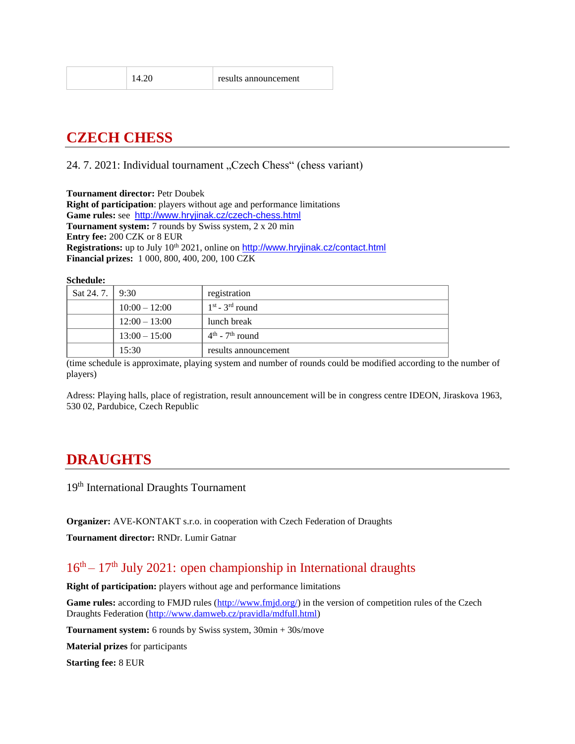|   | × |
|---|---|
| × |   |

# **CZECH CHESS**

24. 7. 2021: Individual tournament "Czech Chess" (chess variant)

**Tournament director:** Petr Doubek **Right of participation**: players without age and performance limitations **Game rules:** see <http://www.hryjinak.cz/czech-chess.html> **Tournament system:** 7 rounds by Swiss system, 2 x 20 min **Entry fee:** 200 CZK or 8 EUR **Registrations:** up to July 10<sup>th</sup> 2021, online on <http://www.hryjinak.cz/contact.html> **Financial prizes:** 1 000, 800, 400, 200, 100 CZK

**Schedule:**

| Sat 24. 7.   $9:30$ |                 | registration         |  |
|---------------------|-----------------|----------------------|--|
|                     | $10:00 - 12:00$ | $1st$ - $3rd$ round  |  |
|                     | $12:00 - 13:00$ | lunch break          |  |
|                     | $13:00 - 15:00$ | $4th$ - $7th$ round  |  |
|                     | 15:30           | results announcement |  |

(time schedule is approximate, playing system and number of rounds could be modified according to the number of players)

Adress: Playing halls, place of registration, result announcement will be in congress centre IDEON, Jiraskova 1963, 530 02, Pardubice, Czech Republic

# **DRAUGHTS**

19<sup>th</sup> International Draughts Tournament

**Organizer:** AVE-KONTAKT s.r.o. in cooperation with Czech Federation of Draughts

**Tournament director:** RNDr. Lumir Gatnar

### 16<sup>th</sup> – 17<sup>th</sup> July 2021: open championship in International draughts

**Right of participation:** players without age and performance limitations

**Game rules:** according to FMJD rules [\(http://www.fmjd.org/\)](http://www.fmjd.org/) in the version of competition rules of the Czech Draughts Federation [\(http://www.damweb.cz/pravidla/mdfull.html\)](http://www.damweb.cz/pravidla/mdfull.html)

**Tournament system:** 6 rounds by Swiss system, 30min + 30s/move

**Material prizes** for participants

**Starting fee:** 8 EUR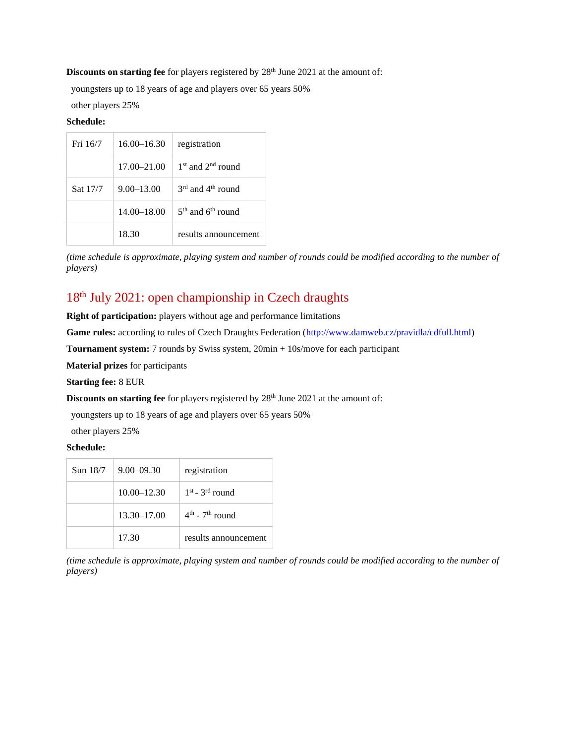#### **Discounts on starting fee** for players registered by 28<sup>th</sup> June 2021 at the amount of:

youngsters up to 18 years of age and players over 65 years 50%

other players 25%

#### **Schedule:**

| Fri 16/7 | $16.00 - 16.30$ | registration          |
|----------|-----------------|-----------------------|
|          | $17.00 - 21.00$ | $1st$ and $2nd$ round |
| Sat 17/7 | $9.00 - 13.00$  | $3rd$ and $4th$ round |
|          | $14.00 - 18.00$ | $5th$ and $6th$ round |
|          | 18.30           | results announcement  |

*(time schedule is approximate, playing system and number of rounds could be modified according to the number of players)*

### 18th July 2021: open championship in Czech draughts

**Right of participation:** players without age and performance limitations

Game rules: according to rules of Czech Draughts Federation [\(http://www.damweb.cz/pravidla/cdfull.html\)](http://www.damweb.cz/pravidla/cdfull.html)

**Tournament system:** 7 rounds by Swiss system, 20min + 10s/move for each participant

**Material prizes** for participants

**Starting fee:** 8 EUR

**Discounts on starting fee** for players registered by 28<sup>th</sup> June 2021 at the amount of:

youngsters up to 18 years of age and players over 65 years 50%

other players 25%

#### **Schedule:**

| Sun 18/7 | $9.00 - 09.30$  | registration         |
|----------|-----------------|----------------------|
|          | $10.00 - 12.30$ | $1st$ - $3rd$ round  |
|          | $13.30 - 17.00$ | $4th$ - $7th$ round  |
|          | 17.30           | results announcement |

*(time schedule is approximate, playing system and number of rounds could be modified according to the number of players)*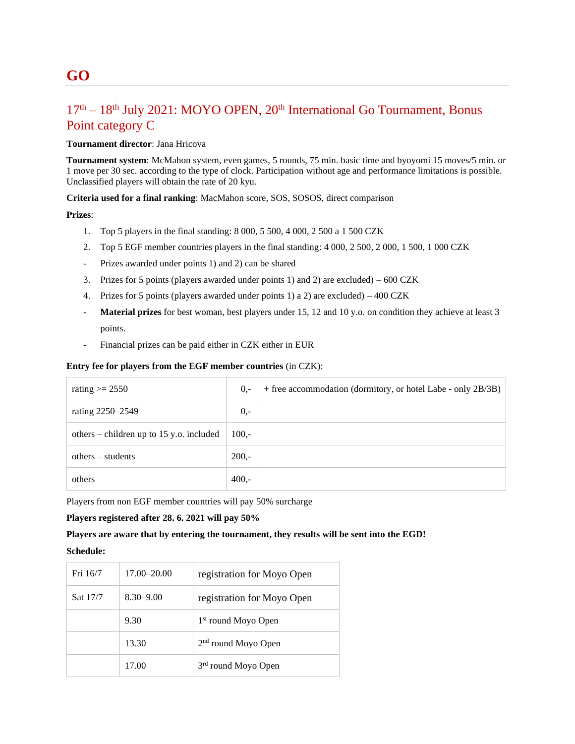### 17<sup>th</sup> – 18<sup>th</sup> July 2021: MOYO OPEN, 20<sup>th</sup> International Go Tournament, Bonus Point category C

#### **Tournament director**: Jana Hricova

**Tournament system**: McMahon system, even games, 5 rounds, 75 min. basic time and byoyomi 15 moves/5 min. or 1 move per 30 sec. according to the type of clock. Participation without age and performance limitations is possible. Unclassified players will obtain the rate of 20 kyu.

**Criteria used for a final ranking**: MacMahon score, SOS, SOSOS, direct comparison

#### **Prizes**:

- 1. Top 5 players in the final standing: 8 000, 5 500, 4 000, 2 500 a 1 500 CZK
- 2. Top 5 EGF member countries players in the final standing: 4 000, 2 500, 2 000, 1 500, 1 000 CZK
- Prizes awarded under points 1) and 2) can be shared
- 3. Prizes for 5 points (players awarded under points 1) and 2) are excluded)  $600 \text{ CZK}$
- 4. Prizes for 5 points (players awarded under points 1) a 2) are excluded) 400 CZK
- **Material prizes** for best woman, best players under 15, 12 and 10 y.o. on condition they achieve at least 3 points.
- Financial prizes can be paid either in CZK either in EUR

#### **Entry fee for players from the EGF member countries** (in CZK):

| rating $\ge$ 2550                        | $0,-$   | + free accommodation (dormitory, or hotel Labe - only 2B/3B) |
|------------------------------------------|---------|--------------------------------------------------------------|
| rating 2250-2549                         | $0,-$   |                                                              |
| others – children up to 15 y.o. included | $100 -$ |                                                              |
| $others - students$                      | $200 -$ |                                                              |
| others                                   | $400,-$ |                                                              |

Players from non EGF member countries will pay 50% surcharge

**Players registered after 28. 6. 2021 will pay 50%**

#### **Players are aware that by entering the tournament, they results will be sent into the EGD!**

| Fri 16/7 | $17.00 - 20.00$ | registration for Moyo Open      |
|----------|-----------------|---------------------------------|
| Sat 17/7 | $8.30 - 9.00$   | registration for Moyo Open      |
|          | 9.30            | 1 <sup>st</sup> round Moyo Open |
|          | 13.30           | $2nd$ round Moyo Open           |
|          | 17.00           | 3 <sup>rd</sup> round Moyo Open |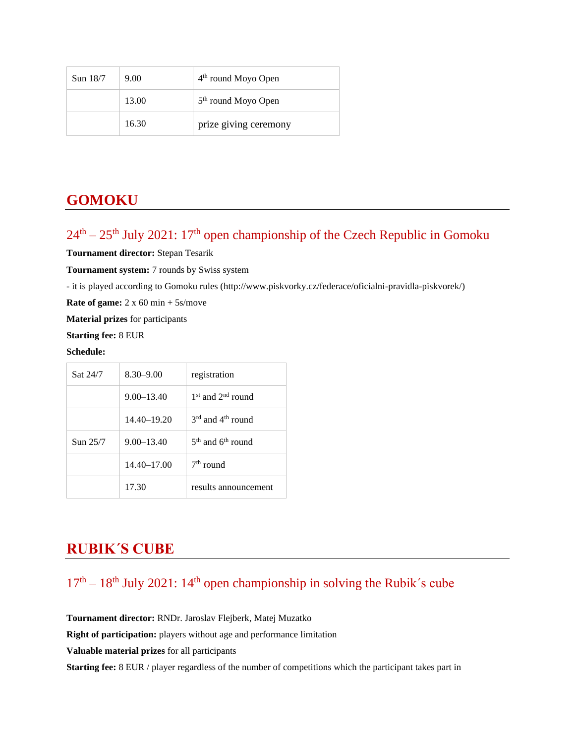| Sun $18/7$ | 9.00  | $4th$ round Moyo Open           |
|------------|-------|---------------------------------|
|            | 13.00 | 5 <sup>th</sup> round Moyo Open |
|            | 16.30 | prize giving ceremony           |

# **GOMOKU**

# $24<sup>th</sup> - 25<sup>th</sup>$  July 2021:  $17<sup>th</sup>$  open championship of the Czech Republic in Gomoku

**Tournament director:** Stepan Tesarik

**Tournament system:** 7 rounds by Swiss system

- it is played according to Gomoku rules [\(http://www.piskvorky.cz/federace/oficialni-pravidla-piskvorek/\)](http://www.piskvorky.cz/federace/oficialni-pravidla-piskvorek/)

**Rate of game:** 2 x 60 min + 5s/move

**Material prizes** for participants

**Starting fee:** 8 EUR

#### **Schedule:**

| Sat 24/7    | $8.30 - 9.00$   | registration                              |  |  |
|-------------|-----------------|-------------------------------------------|--|--|
|             | $9.00 - 13.40$  | $1st$ and $2nd$ round                     |  |  |
|             | $14.40 - 19.20$ | $3^{\text{rd}}$ and $4^{\text{th}}$ round |  |  |
| $S$ un 25/7 | $9.00 - 13.40$  | $5th$ and $6th$ round                     |  |  |
|             | $14.40 - 17.00$ | $7th$ round                               |  |  |
|             | 17.30           | results announcement                      |  |  |

# **RUBIK´S CUBE**

### $17<sup>th</sup> - 18<sup>th</sup>$  July 2021:  $14<sup>th</sup>$  open championship in solving the Rubik's cube

**Tournament director:** RNDr. Jaroslav Flejberk, Matej Muzatko **Right of participation:** players without age and performance limitation **Valuable material prizes** for all participants **Starting fee:** 8 EUR / player regardless of the number of competitions which the participant takes part in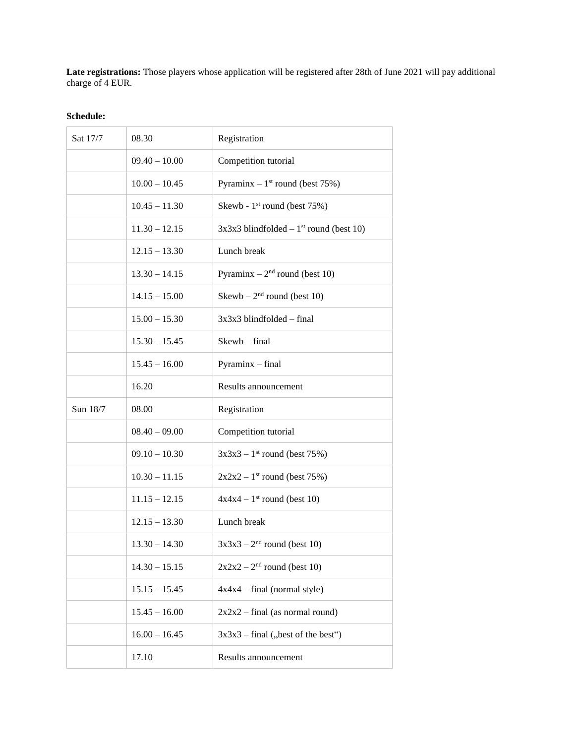**Late registrations:** Those players whose application will be registered after 28th of June 2021 will pay additional charge of 4 EUR.

| Sat 17/7 | 08.30           | Registration                                          |
|----------|-----------------|-------------------------------------------------------|
|          | $09.40 - 10.00$ | Competition tutorial                                  |
|          | $10.00 - 10.45$ | Pyraminx $-1$ <sup>st</sup> round (best 75%)          |
|          | $10.45 - 11.30$ | Skewb - 1 <sup>st</sup> round (best 75%)              |
|          | $11.30 - 12.15$ | $3x3x3$ blindfolded – 1 <sup>st</sup> round (best 10) |
|          | $12.15 - 13.30$ | Lunch break                                           |
|          | $13.30 - 14.15$ | Pyraminx $-2nd$ round (best 10)                       |
|          | $14.15 - 15.00$ | $Skewb - 2nd round (best 10)$                         |
|          | $15.00 - 15.30$ | $3x3x3$ blindfolded – final                           |
|          | $15.30 - 15.45$ | Skewb - final                                         |
|          | $15.45 - 16.00$ | Pyraminx - final                                      |
|          | 16.20           | Results announcement                                  |
| Sun 18/7 | 08.00           | Registration                                          |
|          | $08.40 - 09.00$ | Competition tutorial                                  |
|          | $09.10 - 10.30$ | $3x3x3 - 1$ <sup>st</sup> round (best 75%)            |
|          | $10.30 - 11.15$ | $2x2x2 - 1$ <sup>st</sup> round (best 75%)            |
|          | $11.15 - 12.15$ | $4x4x4 - 1$ <sup>st</sup> round (best 10)             |
|          | $12.15 - 13.30$ | Lunch break                                           |
|          | $13.30 - 14.30$ | $3x3x3 - 2nd$ round (best 10)                         |
|          | $14.30 - 15.15$ | $2x2x2 - 2nd$ round (best 10)                         |
|          | $15.15 - 15.45$ | $4x4x4 - final (normal style)$                        |
|          | $15.45 - 16.00$ | $2x2x2$ – final (as normal round)                     |
|          | $16.00 - 16.45$ | $3x3x3$ – final ("best of the best")                  |
|          | 17.10           | Results announcement                                  |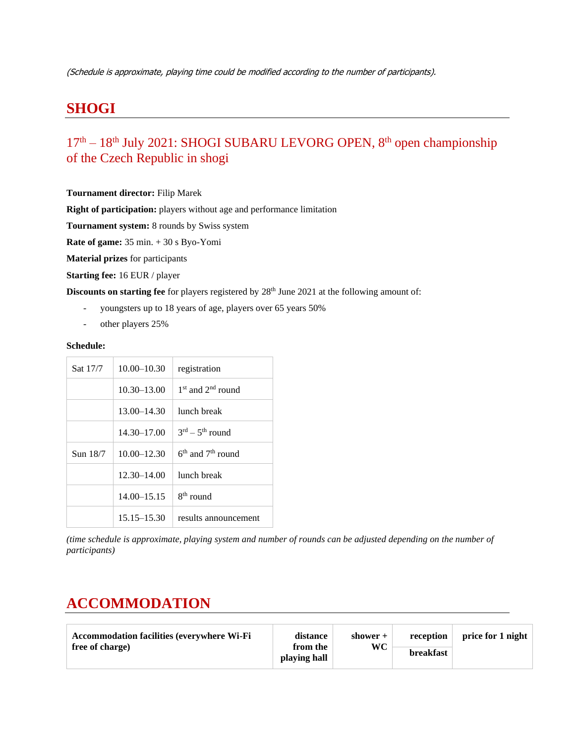# **SHOGI**

### 17<sup>th</sup> – 18<sup>th</sup> July 2021: SHOGI SUBARU LEVORG OPEN, 8<sup>th</sup> open championship of the Czech Republic in shogi

**Tournament director:** Filip Marek

**Right of participation:** players without age and performance limitation

**Tournament system:** 8 rounds by Swiss system

**Rate of game:** 35 min. + 30 s Byo-Yomi

**Material prizes** for participants

**Starting fee:** 16 EUR / player

**Discounts on starting fee** for players registered by 28<sup>th</sup> June 2021 at the following amount of:

- youngsters up to 18 years of age, players over 65 years 50%
- other players 25%

#### **Schedule:**

| Sat 17/7 | $10.00 - 10.30$ | registration            |
|----------|-----------------|-------------------------|
|          | $10.30 - 13.00$ | $1st$ and $2nd$ round   |
|          | $13.00 - 14.30$ | lunch break             |
|          | $14.30 - 17.00$ | $3^{rd} - 5^{th}$ round |
| Sun 18/7 | $10.00 - 12.30$ | $6th$ and $7th$ round   |
|          | 12.30-14.00     | lunch break             |
|          | $14.00 - 15.15$ | $8th$ round             |
|          | $15.15 - 15.30$ | results announcement    |

*(time schedule is approximate, playing system and number of rounds can be adjusted depending on the number of participants)*

# **ACCOMMODATION**

| <b>Accommodation facilities (everywhere Wi-Fi</b> | distance                 | shower $+$ | reception        | price for 1 night |
|---------------------------------------------------|--------------------------|------------|------------------|-------------------|
| free of charge)                                   | from the<br>playing hall | WC         | <b>breakfast</b> |                   |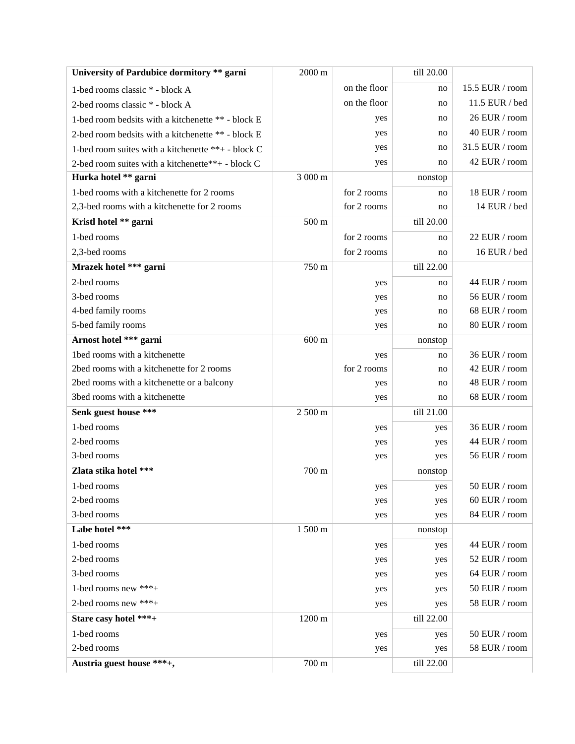| University of Pardubice dormitory ** garni         | 2000 m          |              | till 20.00 |                 |
|----------------------------------------------------|-----------------|--------------|------------|-----------------|
| 1-bed rooms classic * - block A                    |                 | on the floor | no         | 15.5 EUR / room |
| 2-bed rooms classic * - block A                    |                 | on the floor | no         | 11.5 EUR / bed  |
| 1-bed room bedsits with a kitchenette ** - block E |                 | yes          | no         | 26 EUR / room   |
| 2-bed room bedsits with a kitchenette ** - block E |                 | yes          | no         | 40 EUR / room   |
| 1-bed room suites with a kitchenette **+ - block C |                 | yes          | no         | 31.5 EUR / room |
| 2-bed room suites with a kitchenette**+ - block C  |                 | yes          | no         | 42 EUR / room   |
| Hurka hotel ** garni                               | 3 000 m         |              | nonstop    |                 |
| 1-bed rooms with a kitchenette for 2 rooms         |                 | for 2 rooms  | no         | 18 EUR / room   |
| 2,3-bed rooms with a kitchenette for 2 rooms       |                 | for 2 rooms  | no         | 14 EUR / bed    |
| Kristl hotel ** garni                              | 500 m           |              | till 20.00 |                 |
| 1-bed rooms                                        |                 | for 2 rooms  | no         | 22 EUR / room   |
| 2,3-bed rooms                                      |                 | for 2 rooms  | no         | 16 EUR / bed    |
| Mrazek hotel *** garni                             | 750 m           |              | till 22.00 |                 |
| 2-bed rooms                                        |                 | yes          | no         | 44 EUR / room   |
| 3-bed rooms                                        |                 | yes          | no         | 56 EUR / room   |
| 4-bed family rooms                                 |                 | yes          | no         | 68 EUR / room   |
| 5-bed family rooms                                 |                 | yes          | no         | 80 EUR / room   |
| Arnost hotel *** garni                             | $600 \text{ m}$ |              | nonstop    |                 |
| 1bed rooms with a kitchenette                      |                 | yes          | no         | 36 EUR / room   |
| 2bed rooms with a kitchenette for 2 rooms          |                 | for 2 rooms  | no         | 42 EUR / room   |
| 2bed rooms with a kitchenette or a balcony         |                 | yes          | no         | 48 EUR / room   |
| 3bed rooms with a kitchenette                      |                 | yes          | no         | 68 EUR / room   |
| Senk guest house ***                               | 2 500 m         |              | till 21.00 |                 |
| 1-bed rooms                                        |                 | yes          | yes        | 36 EUR / room   |
| 2-bed rooms                                        |                 | yes          | yes        | 44 EUR / room   |
| 3-bed rooms                                        |                 | yes          | yes        | 56 EUR / room   |
| Zlata stika hotel ***                              | 700 m           |              | nonstop    |                 |
| 1-bed rooms                                        |                 | yes          | yes        | 50 EUR / $room$ |
| 2-bed rooms                                        |                 | yes          | yes        | 60 EUR / room   |
| 3-bed rooms                                        |                 | yes          | yes        | 84 EUR / room   |
| Labe hotel ***                                     | 1 500 m         |              | nonstop    |                 |
| 1-bed rooms                                        |                 | yes          | yes        | 44 EUR / room   |
| 2-bed rooms                                        |                 | yes          | yes        | 52 EUR / room   |
| 3-bed rooms                                        |                 | yes          | yes        | 64 EUR / room   |
| 1-bed rooms new $***+$                             |                 | yes          | yes        | 50 EUR / room   |
| 2-bed rooms new ***+                               |                 | yes          | yes        | 58 EUR / room   |
| Stare casy hotel ***+                              | 1200 m          |              | till 22.00 |                 |
| 1-bed rooms                                        |                 | yes          | yes        | 50 EUR / room   |
| 2-bed rooms                                        |                 | yes          | yes        | 58 EUR / room   |
| Austria guest house ***+,                          | 700 m           |              | till 22.00 |                 |